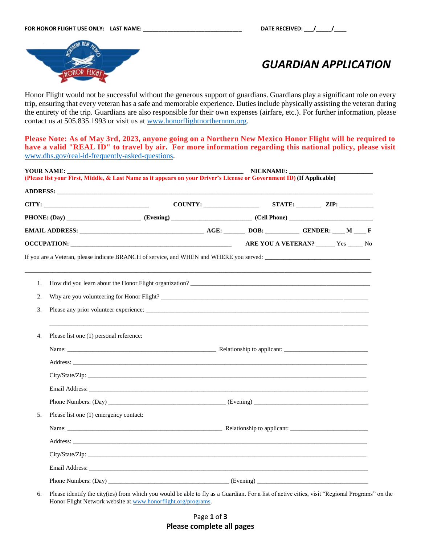

*GUARDIAN APPLICATION*

Honor Flight would not be successful without the generous support of guardians. Guardians play a significant role on every trip, ensuring that every veteran has a safe and memorable experience. Duties include physically assisting the veteran during the entirety of the trip. Guardians are also responsible for their own expenses (airfare, etc.). For further information, please contact us at 505.835.1993 or visit us at [www.honorflightnorthernnm.org.](http://www.honorflightnorthernnm.org/)

**Please Note: As of May 3rd, 2023, anyone going on a Northern New Mexico Honor Flight will be required to have a valid "REAL ID" to travel by air. For more information regarding this national policy, please visit** [www.dhs.gov/real-id-frequently-asked-questions.](http://www.dhs.gov/real-id-frequently-asked-questions)

| YOUR NAME:<br>NICKNAME:<br>(Please list your First, Middle, & Last Name as it appears on your Driver's License or Government ID) (If Applicable) |  |                                                                                                                         |  |  |  |                                                                                                                                                                                                                                                                                                   |
|--------------------------------------------------------------------------------------------------------------------------------------------------|--|-------------------------------------------------------------------------------------------------------------------------|--|--|--|---------------------------------------------------------------------------------------------------------------------------------------------------------------------------------------------------------------------------------------------------------------------------------------------------|
|                                                                                                                                                  |  |                                                                                                                         |  |  |  |                                                                                                                                                                                                                                                                                                   |
|                                                                                                                                                  |  |                                                                                                                         |  |  |  |                                                                                                                                                                                                                                                                                                   |
|                                                                                                                                                  |  |                                                                                                                         |  |  |  |                                                                                                                                                                                                                                                                                                   |
|                                                                                                                                                  |  |                                                                                                                         |  |  |  |                                                                                                                                                                                                                                                                                                   |
|                                                                                                                                                  |  |                                                                                                                         |  |  |  |                                                                                                                                                                                                                                                                                                   |
|                                                                                                                                                  |  |                                                                                                                         |  |  |  |                                                                                                                                                                                                                                                                                                   |
|                                                                                                                                                  |  |                                                                                                                         |  |  |  |                                                                                                                                                                                                                                                                                                   |
|                                                                                                                                                  |  |                                                                                                                         |  |  |  |                                                                                                                                                                                                                                                                                                   |
|                                                                                                                                                  |  |                                                                                                                         |  |  |  |                                                                                                                                                                                                                                                                                                   |
|                                                                                                                                                  |  |                                                                                                                         |  |  |  |                                                                                                                                                                                                                                                                                                   |
|                                                                                                                                                  |  |                                                                                                                         |  |  |  |                                                                                                                                                                                                                                                                                                   |
|                                                                                                                                                  |  |                                                                                                                         |  |  |  |                                                                                                                                                                                                                                                                                                   |
|                                                                                                                                                  |  |                                                                                                                         |  |  |  |                                                                                                                                                                                                                                                                                                   |
|                                                                                                                                                  |  |                                                                                                                         |  |  |  |                                                                                                                                                                                                                                                                                                   |
|                                                                                                                                                  |  |                                                                                                                         |  |  |  |                                                                                                                                                                                                                                                                                                   |
|                                                                                                                                                  |  |                                                                                                                         |  |  |  |                                                                                                                                                                                                                                                                                                   |
|                                                                                                                                                  |  |                                                                                                                         |  |  |  |                                                                                                                                                                                                                                                                                                   |
|                                                                                                                                                  |  |                                                                                                                         |  |  |  |                                                                                                                                                                                                                                                                                                   |
|                                                                                                                                                  |  |                                                                                                                         |  |  |  |                                                                                                                                                                                                                                                                                                   |
|                                                                                                                                                  |  |                                                                                                                         |  |  |  |                                                                                                                                                                                                                                                                                                   |
|                                                                                                                                                  |  |                                                                                                                         |  |  |  |                                                                                                                                                                                                                                                                                                   |
|                                                                                                                                                  |  | $\text{CITY:}\n\quad \text{array}$<br>Please list one (1) personal reference:<br>Please list one (1) emergency contact: |  |  |  | ARE YOU A VETERAN? ______ Yes _____ No<br>If you are a Veteran, please indicate BRANCH of service, and WHEN and WHERE you served:<br>How did you learn about the Honor Flight organization?<br><u> Learner about the Honor Flight organization?</u><br>Why are you volunteering for Honor Flight? |

6. Please identify the city(ies) from which you would be able to fly as a Guardian. For a list of active cities, visit "Regional Programs" on the Honor Flight Network website at [www.honorflight.org/programs.](http://www.honorflight.org/programs)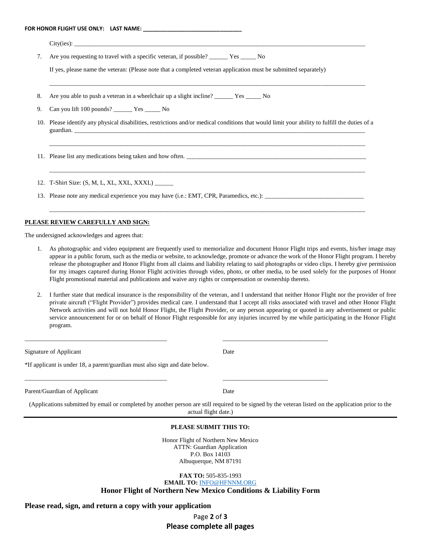| If yes, please name the veteran: (Please note that a completed veteran application must be submitted separately)<br>10. Please identify any physical disabilities, restrictions and/or medical conditions that would limit your ability to fulfill the duties of a |
|--------------------------------------------------------------------------------------------------------------------------------------------------------------------------------------------------------------------------------------------------------------------|
|                                                                                                                                                                                                                                                                    |
|                                                                                                                                                                                                                                                                    |
|                                                                                                                                                                                                                                                                    |
|                                                                                                                                                                                                                                                                    |
| ,我们也不能在这里的时候,我们也不能在这里的时候,我们也不能会在这里,我们也不能会不能会不能会不能会不能会不能会。""我们,我们也不能会不能会不能会不能会不能会<br>11. Please list any medications being taken and how often.                                                                                                                     |
|                                                                                                                                                                                                                                                                    |
|                                                                                                                                                                                                                                                                    |
|                                                                                                                                                                                                                                                                    |

- 1. As photographic and video equipment are frequently used to memorialize and document Honor Flight trips and events, his/her image may appear in a public forum, such as the media or website, to acknowledge, promote or advance the work of the Honor Flight program. I hereby release the photographer and Honor Flight from all claims and liability relating to said photographs or video clips. I hereby give permission for my images captured during Honor Flight activities through video, photo, or other media, to be used solely for the purposes of Honor Flight promotional material and publications and waive any rights or compensation or ownership thereto.
- 2. I further state that medical insurance is the responsibility of the veteran, and I understand that neither Honor Flight nor the provider of free private aircraft ("Flight Provider") provides medical care. I understand that I accept all risks associated with travel and other Honor Flight Network activities and will not hold Honor Flight, the Flight Provider, or any person appearing or quoted in any advertisement or public service announcement for or on behalf of Honor Flight responsible for any injuries incurred by me while participating in the Honor Flight program.

\_\_\_\_\_\_\_\_\_\_\_\_\_\_\_\_\_\_\_\_\_\_\_\_\_\_\_\_\_\_\_\_\_\_\_\_\_\_\_\_\_\_\_\_\_\_ \_\_\_\_\_\_\_\_\_\_\_\_\_\_\_\_\_\_\_\_\_\_\_\_\_\_\_\_\_\_\_\_\_\_

\_\_\_\_\_\_\_\_\_\_\_\_\_\_\_\_\_\_\_\_\_\_\_\_\_\_\_\_\_\_\_\_\_\_\_\_\_\_\_\_\_\_\_\_\_\_ \_\_\_\_\_\_\_\_\_\_\_\_\_\_\_\_\_\_\_\_\_\_\_\_\_\_\_\_\_\_\_\_\_\_

Signature of Applicant Date

\*If applicant is under 18, a parent/guardian must also sign and date below.

Parent/Guardian of Applicant Date

(Applications submitted by email or completed by another person are still required to be signed by the veteran listed on the application prior to the actual flight date.)

## **PLEASE SUBMIT THIS TO:**

Honor Flight of Northern New Mexico ATTN: Guardian Application P.O. Box 14103 Albuquerque, NM 87191

**FAX TO:** 505-835-1993 **EMAIL TO:** [INFO@HFNNM.ORG](mailto:INFO@HFNNM.ORG)

**Honor Flight of Northern New Mexico Conditions & Liability Form**

## **Please read, sign, and return a copy with your application**

Page **2** of **3 Please complete all pages**